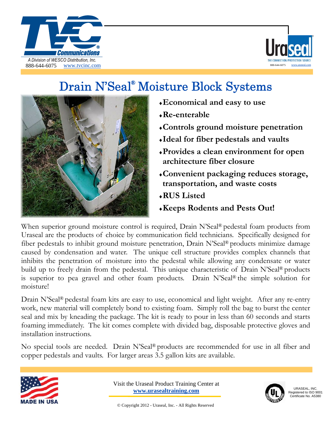



## Drain N'Seal<sup>®</sup> Moisture Block Systems



- ♦**Economical and easy to use**
- ♦**Re-enterable**
- ♦**Controls ground moisture penetration**
- ♦**Ideal for fiber pedestals and vaults**
- ♦**Provides a clean environment for open architecture fiber closure**
- ♦**Convenient packaging reduces storage, transportation, and waste costs**
- ♦**RUS Listed**
- ♦**Keeps Rodents and Pests Out!**

When superior ground moisture control is required, Drain N'Seal<sup>®</sup> pedestal foam products from Uraseal are the products of choice by communication field technicians. Specifically designed for fiber pedestals to inhibit ground moisture penetration, Drain N'Seal® products minimize damage caused by condensation and water. The unique cell structure provides complex channels that inhibits the penetration of moisture into the pedestal while allowing any condensate or water build up to freely drain from the pedestal. This unique characteristic of Drain N'Seal® products is superior to pea gravel and other foam products. Drain N'Seal® the simple solution for moisture!

Drain N'Seal® pedestal foam kits are easy to use, economical and light weight. After any re-entry work, new material will completely bond to existing foam. Simply roll the bag to burst the center seal and mix by kneading the package. The kit is ready to pour in less than 60 seconds and starts foaming immediately. The kit comes complete with divided bag, disposable protective gloves and installation instructions.

No special tools are needed. Drain N'Seal® products are recommended for use in all fiber and copper pedestals and vaults. For larger areas 3.5 gallon kits are available.



Visit the Uraseal Product Training Center at **www.urasealtraining.com**